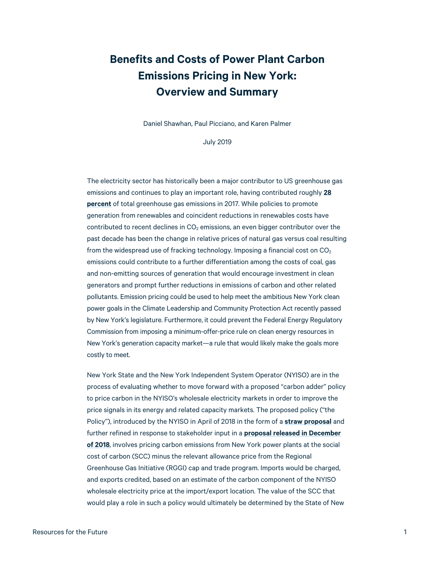## **Benefits and Costs of Power Plant Carbon Emissions Pricing in New York: Overview and Summary**

Daniel Shawhan, Paul Picciano, and Karen Palmer

July 2019

The electricity sector has historically been a major contributor to US greenhouse gas emissions and continues to play an important role, having contributed roughly **[28](https://www.epa.gov/ghgemissions/sources-greenhouse-gas-emissions)  [percent](https://www.epa.gov/ghgemissions/sources-greenhouse-gas-emissions)** of total greenhouse gas emissions in 2017. While policies to promote generation from renewables and coincident reductions in renewables costs have contributed to recent declines in  $CO<sub>2</sub>$  emissions, an even bigger contributor over the past decade has been the change in relative prices of natural gas versus coal resulting from the widespread use of fracking technology. Imposing a financial cost on  $CO<sub>2</sub>$ emissions could contribute to a further differentiation among the costs of coal, gas and non-emitting sources of generation that would encourage investment in clean generators and prompt further reductions in emissions of carbon and other related pollutants. Emission pricing could be used to help meet the ambitious New York clean power goals in the Climate Leadership and Community Protection Act recently passed by New York's legislature. Furthermore, it could prevent the Federal Energy Regulatory Commission from imposing a minimum-offer-price rule on clean energy resources in New York's generation capacity market—a rule that would likely make the goals more costly to meet.

New York State and the New York Independent System Operator (NYISO) are in the process of evaluating whether to move forward with a proposed "carbon adder" policy to price carbon in the NYISO's wholesale electricity markets in order to improve the price signals in its energy and related capacity markets. The proposed policy ("the Policy"), introduced by the NYISO in April of 2018 in the form of a **[straw proposal](https://www.nyiso.com/documents/20142/1393516/Carbon%20Pricing%20Straw%20Proposal%2020180430.pdf/e9003d1e-0557-5292-0f7f-24dbcfd68ac5)** and further refined in response to stakeholder input in a **[proposal](https://www.nyiso.com/documents/20142/3911819/Carbon-Pricing-Proposal%20December%202018.pdf) released in December of 2018**, involves pricing carbon emissions from New York power plants at the social cost of carbon (SCC) minus the relevant allowance price from the Regional Greenhouse Gas Initiative (RGGI) cap and trade program. Imports would be charged, and exports credited, based on an estimate of the carbon component of the NYISO wholesale electricity price at the import/export location. The value of the SCC that would play a role in such a policy would ultimately be determined by the State of New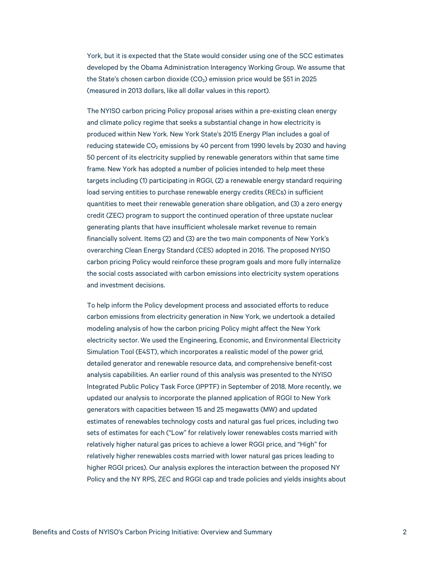York, but it is expected that the State would consider using one of the SCC estimates developed by the Obama Administration Interagency Working Group. We assume that the State's chosen carbon dioxide  $(CO<sub>2</sub>)$  emission price would be \$51 in 2025 (measured in 2013 dollars, like all dollar values in this report).

The NYISO carbon pricing Policy proposal arises within a pre-existing clean energy and climate policy regime that seeks a substantial change in how electricity is produced within New York. New York State's 2015 Energy Plan includes a goal of reducing statewide CO<sub>2</sub> emissions by 40 percent from 1990 levels by 2030 and having 50 percent of its electricity supplied by renewable generators within that same time frame. New York has adopted a number of policies intended to help meet these targets including (1) participating in RGGI, (2) a renewable energy standard requiring load serving entities to purchase renewable energy credits (RECs) in sufficient quantities to meet their renewable generation share obligation, and (3) a zero energy credit (ZEC) program to support the continued operation of three upstate nuclear generating plants that have insufficient wholesale market revenue to remain financially solvent. Items (2) and (3) are the two main components of New York's overarching Clean Energy Standard (CES) adopted in 2016. The proposed NYISO carbon pricing Policy would reinforce these program goals and more fully internalize the social costs associated with carbon emissions into electricity system operations and investment decisions.

To help inform the Policy development process and associated efforts to reduce carbon emissions from electricity generation in New York, we undertook a detailed modeling analysis of how the carbon pricing Policy might affect the New York electricity sector. We used the Engineering, Economic, and Environmental Electricity Simulation Tool (E4ST), which incorporates a realistic model of the power grid, detailed generator and renewable resource data, and comprehensive benefit-cost analysis capabilities. An earlier round of this analysis was presented to the NYISO Integrated Public Policy Task Force (IPPTF) in September of 2018. More recently, we updated our analysis to incorporate the planned application of RGGI to New York generators with capacities between 15 and 25 megawatts (MW) and updated estimates of renewables technology costs and natural gas fuel prices, including two sets of estimates for each ("Low" for relatively lower renewables costs married with relatively higher natural gas prices to achieve a lower RGGI price, and "High" for relatively higher renewables costs married with lower natural gas prices leading to higher RGGI prices). Our analysis explores the interaction between the proposed NY Policy and the NY RPS, ZEC and RGGI cap and trade policies and yields insights about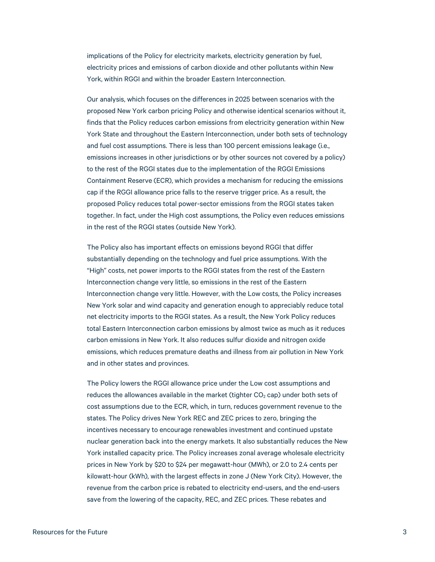implications of the Policy for electricity markets, electricity generation by fuel, electricity prices and emissions of carbon dioxide and other pollutants within New York, within RGGI and within the broader Eastern Interconnection.

Our analysis, which focuses on the differences in 2025 between scenarios with the proposed New York carbon pricing Policy and otherwise identical scenarios without it, finds that the Policy reduces carbon emissions from electricity generation within New York State and throughout the Eastern Interconnection, under both sets of technology and fuel cost assumptions. There is less than 100 percent emissions leakage (i.e., emissions increases in other jurisdictions or by other sources not covered by a policy) to the rest of the RGGI states due to the implementation of the RGGI Emissions Containment Reserve (ECR), which provides a mechanism for reducing the emissions cap if the RGGI allowance price falls to the reserve trigger price. As a result, the proposed Policy reduces total power-sector emissions from the RGGI states taken together. In fact, under the High cost assumptions, the Policy even reduces emissions in the rest of the RGGI states (outside New York).

The Policy also has important effects on emissions beyond RGGI that differ substantially depending on the technology and fuel price assumptions. With the "High" costs, net power imports to the RGGI states from the rest of the Eastern Interconnection change very little, so emissions in the rest of the Eastern Interconnection change very little. However, with the Low costs, the Policy increases New York solar and wind capacity and generation enough to appreciably reduce total net electricity imports to the RGGI states. As a result, the New York Policy reduces total Eastern Interconnection carbon emissions by almost twice as much as it reduces carbon emissions in New York. It also reduces sulfur dioxide and nitrogen oxide emissions, which reduces premature deaths and illness from air pollution in New York and in other states and provinces.

The Policy lowers the RGGI allowance price under the Low cost assumptions and reduces the allowances available in the market (tighter  $CO<sub>2</sub>$  cap) under both sets of cost assumptions due to the ECR, which, in turn, reduces government revenue to the states. The Policy drives New York REC and ZEC prices to zero, bringing the incentives necessary to encourage renewables investment and continued upstate nuclear generation back into the energy markets. It also substantially reduces the New York installed capacity price. The Policy increases zonal average wholesale electricity prices in New York by \$20 to \$24 per megawatt-hour (MWh), or 2.0 to 2.4 cents per kilowatt-hour (kWh), with the largest effects in zone J (New York City). However, the revenue from the carbon price is rebated to electricity end-users, and the end-users save from the lowering of the capacity, REC, and ZEC prices. These rebates and